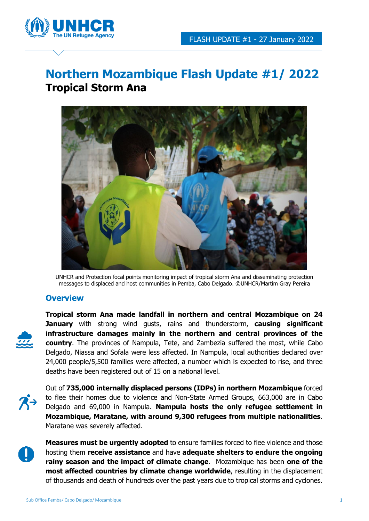

# **Northern Mozambique Flash Update #1/ 2022 Tropical Storm Ana**



UNHCR and Protection focal points monitoring impact of tropical storm Ana and disseminating protection messages to displaced and host communities in Pemba, Cabo Delgado. ©UNHCR/Martim Gray Pereira

## **Overview**



**Tropical storm Ana made landfall in northern and central Mozambique on 24 January** with strong wind gusts, rains and thunderstorm, **causing significant infrastructure damages mainly in the northern and central provinces of the country**. The provinces of Nampula, Tete, and Zambezia suffered the most, while Cabo Delgado, Niassa and Sofala were less affected. In Nampula, local authorities declared over 24,000 people/5,500 families were affected, a number which is expected to rise, and three deaths have been registered out of 15 on a national level.

Out of **735,000 internally displaced persons (IDPs) in northern Mozambique** forced to flee their homes due to violence and Non-State Armed Groups, 663,000 are in Cabo Delgado and 69,000 in Nampula. **Nampula hosts the only refugee settlement in Mozambique, Maratane, with around 9,300 refugees from multiple nationalities**. Maratane was severely affected.



**Measures must be urgently adopted** to ensure families forced to flee violence and those hosting them **receive assistance** and have **adequate shelters to endure the ongoing rainy season and the impact of climate change**. Mozambique has been **one of the most affected countries by climate change worldwide**, resulting in the displacement of thousands and death of hundreds over the past years due to tropical storms and cyclones.